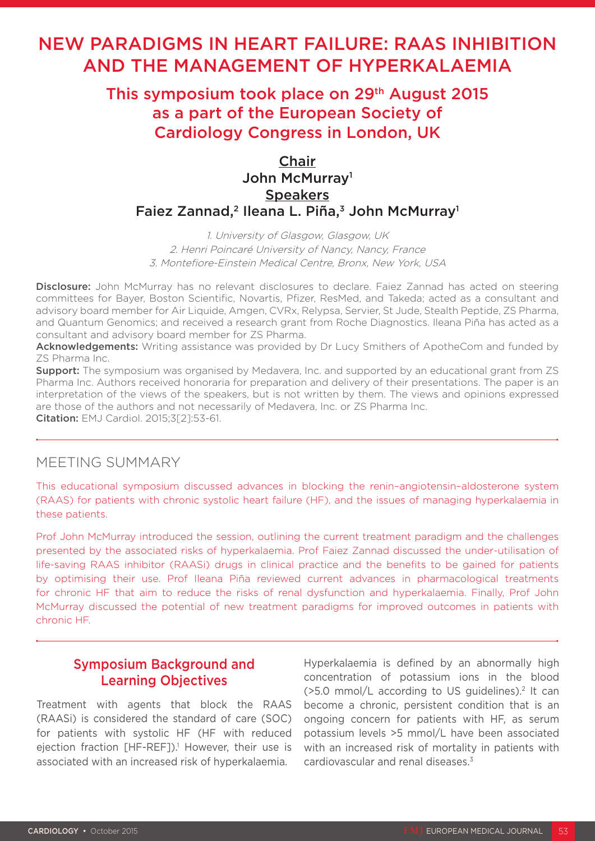# NEW PARADIGMS IN HEART FAILURE: RAAS INHIBITION AND THE MANAGEMENT OF HYPERKALAEMIA

# This symposium took place on 29<sup>th</sup> August 2015 as a part of the European Society of Cardiology Congress in London, UK

## Chair John McMurray1 **Speakers** Faiez Zannad,<sup>2</sup> Ileana L. Piña,<sup>3</sup> John McMurray<sup>1</sup>

1. University of Glasgow, Glasgow, UK 2. Henri Poincaré University of Nancy, Nancy, France 3. Montefiore-Einstein Medical Centre, Bronx, New York, USA

Disclosure: John McMurray has no relevant disclosures to declare. Faiez Zannad has acted on steering committees for Bayer, Boston Scientific, Novartis, Pfizer, ResMed, and Takeda; acted as a consultant and advisory board member for Air Liquide, Amgen, CVRx, Relypsa, Servier, St Jude, Stealth Peptide, ZS Pharma, and Quantum Genomics; and received a research grant from Roche Diagnostics. Ileana Piña has acted as a consultant and advisory board member for ZS Pharma.

Acknowledgements: Writing assistance was provided by Dr Lucy Smithers of ApotheCom and funded by ZS Pharma Inc.

**Support:** The symposium was organised by Medavera, Inc. and supported by an educational grant from ZS Pharma Inc. Authors received honoraria for preparation and delivery of their presentations. The paper is an interpretation of the views of the speakers, but is not written by them. The views and opinions expressed are those of the authors and not necessarily of Medavera, Inc. or ZS Pharma Inc. Citation: EMJ Cardiol. 2015;3[2]:53-61.

MEETING SUMMARY

This educational symposium discussed advances in blocking the renin–angiotensin–aldosterone system (RAAS) for patients with chronic systolic heart failure (HF), and the issues of managing hyperkalaemia in these patients.

Prof John McMurray introduced the session, outlining the current treatment paradigm and the challenges presented by the associated risks of hyperkalaemia. Prof Faiez Zannad discussed the under-utilisation of life-saving RAAS inhibitor (RAASi) drugs in clinical practice and the benefits to be gained for patients by optimising their use. Prof Ileana Piña reviewed current advances in pharmacological treatments for chronic HF that aim to reduce the risks of renal dysfunction and hyperkalaemia. Finally, Prof John McMurray discussed the potential of new treatment paradigms for improved outcomes in patients with chronic HF.

## Symposium Background and Learning Objectives

Treatment with agents that block the RAAS (RAASi) is considered the standard of care (SOC) for patients with systolic HF (HF with reduced ejection fraction [HF-REF]).<sup>1</sup> However, their use is associated with an increased risk of hyperkalaemia.

Hyperkalaemia is defined by an abnormally high concentration of potassium ions in the blood  $($ >5.0 mmol/L according to US quidelines).<sup>2</sup> It can become a chronic, persistent condition that is an ongoing concern for patients with HF, as serum potassium levels >5 mmol/L have been associated with an increased risk of mortality in patients with cardiovascular and renal diseases<sup>3</sup>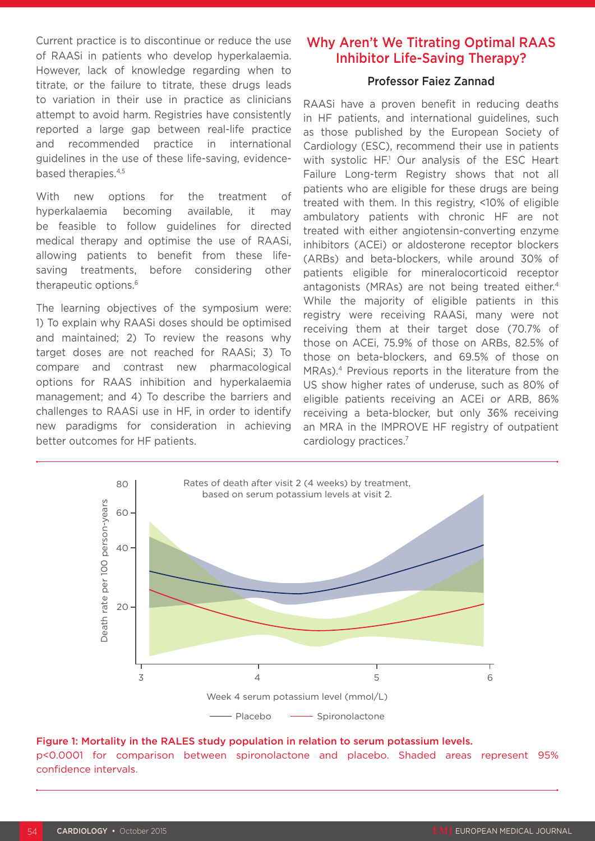Current practice is to discontinue or reduce the use of RAASi in patients who develop hyperkalaemia. However, lack of knowledge regarding when to titrate, or the failure to titrate, these drugs leads to variation in their use in practice as clinicians attempt to avoid harm. Registries have consistently reported a large gap between real-life practice and recommended practice in international guidelines in the use of these life-saving, evidencebased therapies.4,5

With new options for the treatment of hyperkalaemia becoming available, it may be feasible to follow guidelines for directed medical therapy and optimise the use of RAASi, allowing patients to benefit from these lifesaving treatments, before considering other therapeutic options.6

The learning objectives of the symposium were: 1) To explain why RAASi doses should be optimised and maintained; 2) To review the reasons why target doses are not reached for RAASi; 3) To compare and contrast new pharmacological options for RAAS inhibition and hyperkalaemia management; and 4) To describe the barriers and challenges to RAASi use in HF, in order to identify new paradigms for consideration in achieving better outcomes for HF patients.

### Why Aren't We Titrating Optimal RAAS Inhibitor Life-Saving Therapy?

#### Professor Faiez Zannad

RAASi have a proven benefit in reducing deaths in HF patients, and international guidelines, such as those published by the European Society of Cardiology (ESC), recommend their use in patients with systolic HF.<sup>1</sup> Our analysis of the ESC Heart Failure Long-term Registry shows that not all patients who are eligible for these drugs are being treated with them. In this registry, <10% of eligible ambulatory patients with chronic HF are not treated with either angiotensin-converting enzyme inhibitors (ACEi) or aldosterone receptor blockers (ARBs) and beta-blockers, while around 30% of patients eligible for mineralocorticoid receptor antagonists (MRAs) are not being treated either.<sup>4</sup> While the majority of eligible patients in this registry were receiving RAASi, many were not receiving them at their target dose (70.7% of those on ACEi, 75.9% of those on ARBs, 82.5% of those on beta-blockers, and 69.5% of those on MRAs).4 Previous reports in the literature from the US show higher rates of underuse, such as 80% of eligible patients receiving an ACEi or ARB, 86% receiving a beta-blocker, but only 36% receiving an MRA in the IMPROVE HF registry of outpatient cardiology practices.7



#### Figure 1: Mortality in the RALES study population in relation to serum potassium levels.

p<0.0001 for comparison between spironolactone and placebo. Shaded areas represent 95% confidence intervals.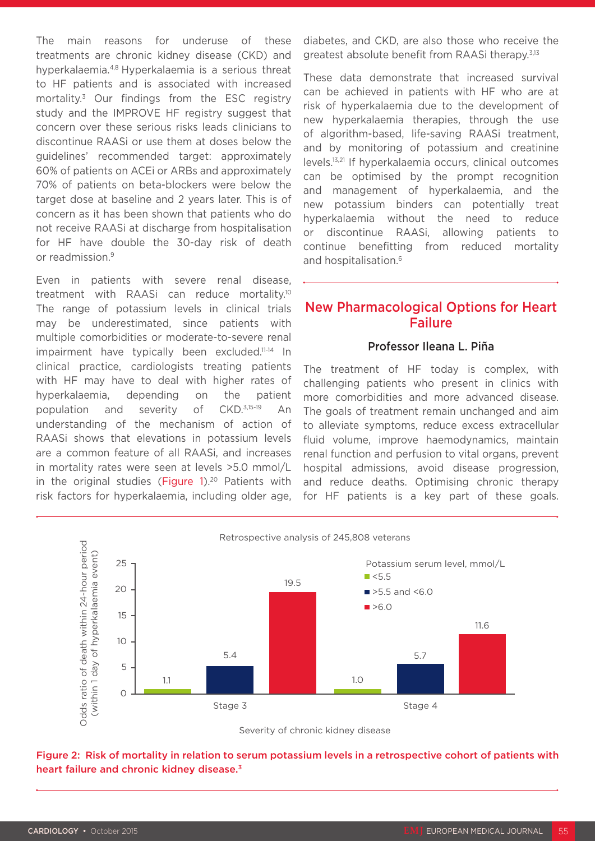The main reasons for underuse of these treatments are chronic kidney disease (CKD) and hyperkalaemia.4,8 Hyperkalaemia is a serious threat to HF patients and is associated with increased mortality.3 Our findings from the ESC registry study and the IMPROVE HF registry suggest that concern over these serious risks leads clinicians to discontinue RAASi or use them at doses below the guidelines' recommended target: approximately 60% of patients on ACEi or ARBs and approximately 70% of patients on beta-blockers were below the target dose at baseline and 2 years later. This is of concern as it has been shown that patients who do not receive RAASi at discharge from hospitalisation for HF have double the 30-day risk of death or readmission.9

Even in patients with severe renal disease, treatment with RAASi can reduce mortality.10 The range of potassium levels in clinical trials may be underestimated, since patients with multiple comorbidities or moderate-to-severe renal impairment have typically been excluded.<sup>11-14</sup> In clinical practice, cardiologists treating patients with HF may have to deal with higher rates of hyperkalaemia, depending on the patient population and severity of CKD.3,15-19 An understanding of the mechanism of action of RAASi shows that elevations in potassium levels are a common feature of all RAASi, and increases in mortality rates were seen at levels >5.0 mmol/L in the original studies (Figure  $1$ ).<sup>20</sup> Patients with risk factors for hyperkalaemia, including older age, diabetes, and CKD, are also those who receive the greatest absolute benefit from RAASi therapy.<sup>3,13</sup>

These data demonstrate that increased survival can be achieved in patients with HF who are at risk of hyperkalaemia due to the development of new hyperkalaemia therapies, through the use of algorithm-based, life-saving RAASi treatment, and by monitoring of potassium and creatinine levels.13,21 If hyperkalaemia occurs, clinical outcomes can be optimised by the prompt recognition and management of hyperkalaemia, and the new potassium binders can potentially treat hyperkalaemia without the need to reduce or discontinue RAASi, allowing patients to continue benefitting from reduced mortality and hospitalisation.<sup>6</sup>

### New Pharmacological Options for Heart Failure

#### Professor Ileana L. Piña

The treatment of HF today is complex, with challenging patients who present in clinics with more comorbidities and more advanced disease. The goals of treatment remain unchanged and aim to alleviate symptoms, reduce excess extracellular fluid volume, improve haemodynamics, maintain renal function and perfusion to vital organs, prevent hospital admissions, avoid disease progression, and reduce deaths. Optimising chronic therapy for HF patients is a key part of these goals.



Severity of chronic kidney disease

Figure 2: Risk of mortality in relation to serum potassium levels in a retrospective cohort of patients with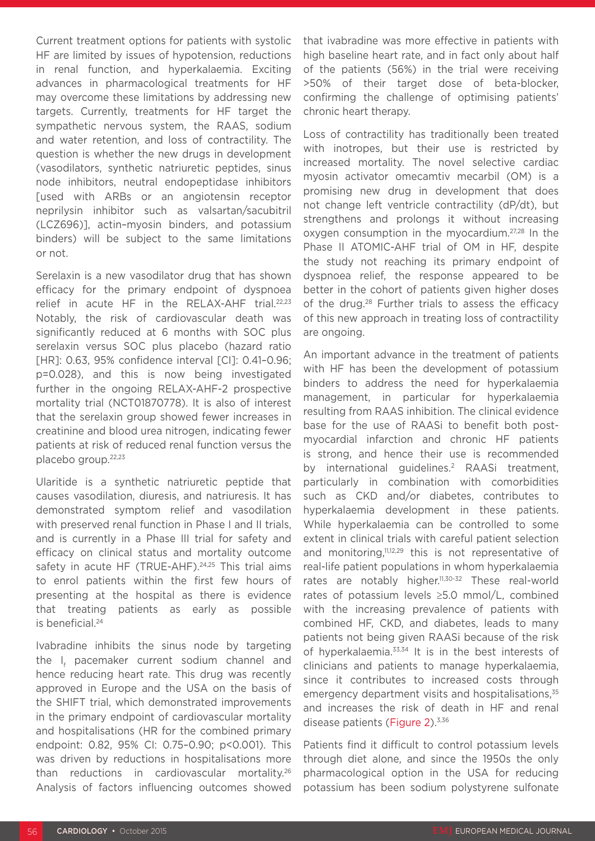Current treatment options for patients with systolic HF are limited by issues of hypotension, reductions in renal function, and hyperkalaemia. Exciting advances in pharmacological treatments for HF may overcome these limitations by addressing new targets. Currently, treatments for HF target the sympathetic nervous system, the RAAS, sodium and water retention, and loss of contractility. The question is whether the new drugs in development (vasodilators, synthetic natriuretic peptides, sinus node inhibitors, neutral endopeptidase inhibitors [used with ARBs or an angiotensin receptor neprilysin inhibitor such as valsartan/sacubitril (LCZ696)], actin–myosin binders, and potassium binders) will be subject to the same limitations or not.

Serelaxin is a new vasodilator drug that has shown efficacy for the primary endpoint of dyspnoea relief in acute HF in the RELAX-AHF trial.<sup>22,23</sup> Notably, the risk of cardiovascular death was significantly reduced at 6 months with SOC plus serelaxin versus SOC plus placebo (hazard ratio [HR]: 0.63, 95% confidence interval [CI]: 0.41-0.96; p=0.028), and this is now being investigated further in the ongoing RELAX-AHF-2 prospective mortality trial (NCT01870778). It is also of interest that the serelaxin group showed fewer increases in creatinine and blood urea nitrogen, indicating fewer patients at risk of reduced renal function versus the placebo group.22,23

Ularitide is a synthetic natriuretic peptide that causes vasodilation, diuresis, and natriuresis. It has demonstrated symptom relief and vasodilation with preserved renal function in Phase I and II trials. and is currently in a Phase III trial for safety and efficacy on clinical status and mortality outcome safety in acute HF (TRUE-AHF).<sup>24,25</sup> This trial aims to enrol patients within the first few hours of presenting at the hospital as there is evidence that treating patients as early as possible is beneficial.24

Ivabradine inhibits the sinus node by targeting the I<sub>f</sub> pacemaker current sodium channel and hence reducing heart rate. This drug was recently approved in Europe and the USA on the basis of the SHIFT trial, which demonstrated improvements in the primary endpoint of cardiovascular mortality and hospitalisations (HR for the combined primary endpoint: 0.82, 95% CI: 0.75–0.90; p<0.001). This was driven by reductions in hospitalisations more than reductions in cardiovascular mortality.26 Analysis of factors influencing outcomes showed

that ivabradine was more effective in patients with high baseline heart rate, and in fact only about half of the patients (56%) in the trial were receiving >50% of their target dose of beta-blocker, confirming the challenge of optimising patients' chronic heart therapy.

Loss of contractility has traditionally been treated with inotropes, but their use is restricted by increased mortality. The novel selective cardiac myosin activator omecamtiv mecarbil (OM) is a promising new drug in development that does not change left ventricle contractility (dP/dt), but strengthens and prolongs it without increasing oxygen consumption in the myocardium.27,28 In the Phase II ATOMIC-AHF trial of OM in HF, despite the study not reaching its primary endpoint of dyspnoea relief, the response appeared to be better in the cohort of patients given higher doses of the drug.28 Further trials to assess the efficacy of this new approach in treating loss of contractility are ongoing.

An important advance in the treatment of patients with HF has been the development of potassium binders to address the need for hyperkalaemia management, in particular for hyperkalaemia resulting from RAAS inhibition. The clinical evidence base for the use of RAASi to benefit both postmyocardial infarction and chronic HF patients is strong, and hence their use is recommended by international guidelines.<sup>2</sup> RAASi treatment. particularly in combination with comorbidities such as CKD and/or diabetes, contributes to hyperkalaemia development in these patients. While hyperkalaemia can be controlled to some extent in clinical trials with careful patient selection and monitoring,<sup>11,12,29</sup> this is not representative of real-life patient populations in whom hyperkalaemia rates are notably higher.<sup>11,30-32</sup> These real-world rates of potassium levels ≥5.0 mmol/L, combined with the increasing prevalence of patients with combined HF, CKD, and diabetes, leads to many patients not being given RAASi because of the risk of hyperkalaemia.33,34 It is in the best interests of clinicians and patients to manage hyperkalaemia, since it contributes to increased costs through emergency department visits and hospitalisations,<sup>35</sup> and increases the risk of death in HF and renal disease patients (Figure 2).<sup>3,36</sup>

Patients find it difficult to control potassium levels through diet alone, and since the 1950s the only pharmacological option in the USA for reducing potassium has been sodium polystyrene sulfonate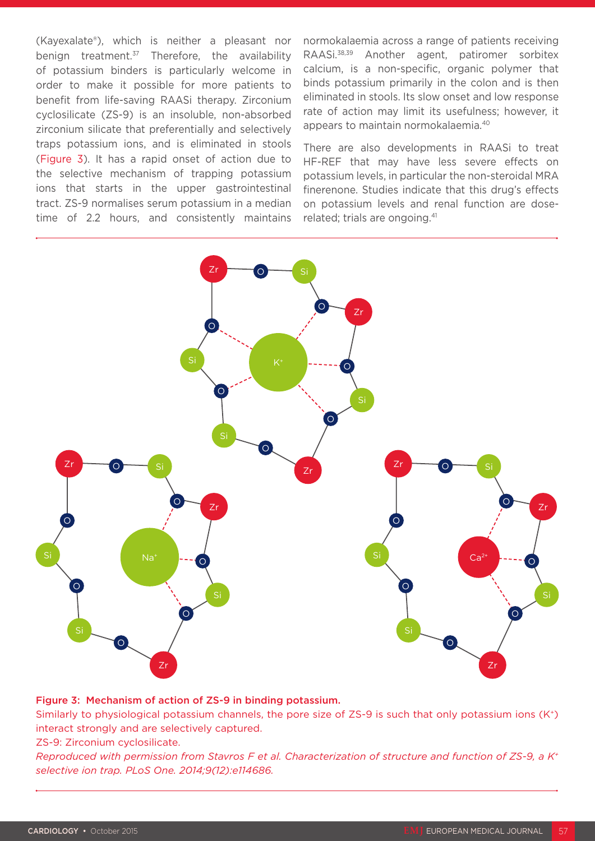(Kayexalate®), which is neither a pleasant nor benign treatment. $37$  Therefore, the availability of potassium binders is particularly welcome in order to make it possible for more patients to benefit from life-saving RAASi therapy. Zirconium cyclosilicate (ZS-9) is an insoluble, non-absorbed zirconium silicate that preferentially and selectively traps potassium ions, and is eliminated in stools (Figure 3). It has a rapid onset of action due to the selective mechanism of trapping potassium ions that starts in the upper gastrointestinal tract. ZS-9 normalises serum potassium in a median time of 2.2 hours, and consistently maintains normokalaemia across a range of patients receiving RAASi.38,39 Another agent, patiromer sorbitex calcium, is a non-specific, organic polymer that binds potassium primarily in the colon and is then eliminated in stools. Its slow onset and low response rate of action may limit its usefulness; however, it appears to maintain normokalaemia.40

There are also developments in RAASi to treat HF-REF that may have less severe effects on potassium levels, in particular the non-steroidal MRA finerenone. Studies indicate that this drug's effects on potassium levels and renal function are doserelated; trials are ongoing.<sup>41</sup>



#### Figure 3: Mechanism of action of ZS-9 in binding potassium.

Similarly to physiological potassium channels, the pore size of ZS-9 is such that only potassium ions (K+) interact strongly and are selectively captured.

ZS-9: Zirconium cyclosilicate.

*Reproduced with permission from Stavros F et al. Characterization of structure and function of ZS-9, a K+ selective ion trap. PLoS One. 2014;9(12):e114686.*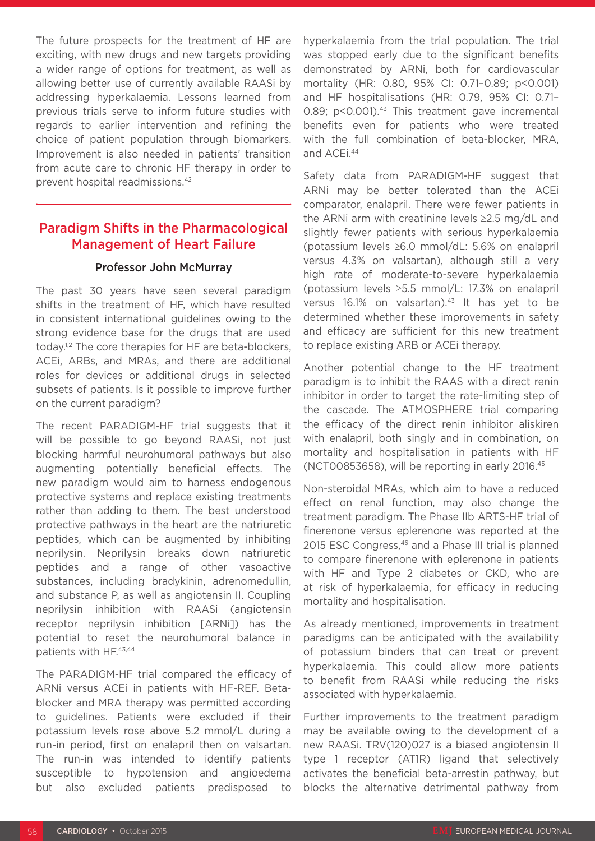The future prospects for the treatment of HF are exciting, with new drugs and new targets providing a wider range of options for treatment, as well as allowing better use of currently available RAASi by addressing hyperkalaemia. Lessons learned from previous trials serve to inform future studies with regards to earlier intervention and refining the choice of patient population through biomarkers. Improvement is also needed in patients' transition from acute care to chronic HF therapy in order to prevent hospital readmissions.42

### Paradigm Shifts in the Pharmacological Management of Heart Failure

#### Professor John McMurray

The past 30 years have seen several paradigm shifts in the treatment of HF, which have resulted in consistent international guidelines owing to the strong evidence base for the drugs that are used today.<sup>1,2</sup> The core therapies for HF are beta-blockers, ACEi, ARBs, and MRAs, and there are additional roles for devices or additional drugs in selected subsets of patients. Is it possible to improve further on the current paradigm?

The recent PARADIGM-HF trial suggests that it will be possible to go beyond RAASi, not just blocking harmful neurohumoral pathways but also augmenting potentially beneficial effects. The new paradigm would aim to harness endogenous protective systems and replace existing treatments rather than adding to them. The best understood protective pathways in the heart are the natriuretic peptides, which can be augmented by inhibiting neprilysin. Neprilysin breaks down natriuretic peptides and a range of other vasoactive substances, including bradykinin, adrenomedullin, and substance P, as well as angiotensin II. Coupling neprilysin inhibition with RAASi (angiotensin receptor neprilysin inhibition [ARNi]) has the potential to reset the neurohumoral balance in patients with HF.43,44

The PARADIGM-HF trial compared the efficacy of ARNi versus ACEi in patients with HF-REF. Betablocker and MRA therapy was permitted according to guidelines. Patients were excluded if their potassium levels rose above 5.2 mmol/L during a run-in period, first on enalapril then on valsartan. The run-in was intended to identify patients susceptible to hypotension and angioedema but also excluded patients predisposed to

hyperkalaemia from the trial population. The trial was stopped early due to the significant benefits demonstrated by ARNi, both for cardiovascular mortality (HR: 0.80, 95% CI: 0.71–0.89; p<0.001) and HF hospitalisations (HR: 0.79, 95% CI: 0.71– 0.89; p<0.001).<sup>43</sup> This treatment gave incremental benefits even for patients who were treated with the full combination of beta-blocker, MRA, and ACEi.44

Safety data from PARADIGM-HF suggest that ARNi may be better tolerated than the ACEi comparator, enalapril. There were fewer patients in the ARNi arm with creatinine levels ≥2.5 mg/dL and slightly fewer patients with serious hyperkalaemia (potassium levels ≥6.0 mmol/dL: 5.6% on enalapril versus 4.3% on valsartan), although still a very high rate of moderate-to-severe hyperkalaemia (potassium levels ≥5.5 mmol/L: 17.3% on enalapril versus 16.1% on valsartan).<sup>43</sup> It has yet to be determined whether these improvements in safety and efficacy are sufficient for this new treatment to replace existing ARB or ACEi therapy.

Another potential change to the HF treatment paradigm is to inhibit the RAAS with a direct renin inhibitor in order to target the rate-limiting step of the cascade. The ATMOSPHERE trial comparing the efficacy of the direct renin inhibitor aliskiren with enalapril, both singly and in combination, on mortality and hospitalisation in patients with HF (NCT00853658), will be reporting in early 2016.45

Non-steroidal MRAs, which aim to have a reduced effect on renal function, may also change the treatment paradigm. The Phase IIb ARTS-HF trial of finerenone versus eplerenone was reported at the 2015 ESC Congress,<sup>46</sup> and a Phase III trial is planned to compare finerenone with eplerenone in patients with HF and Type 2 diabetes or CKD, who are at risk of hyperkalaemia, for efficacy in reducing mortality and hospitalisation.

As already mentioned, improvements in treatment paradigms can be anticipated with the availability of potassium binders that can treat or prevent hyperkalaemia. This could allow more patients to benefit from RAASi while reducing the risks associated with hyperkalaemia.

Further improvements to the treatment paradigm may be available owing to the development of a new RAASi. TRV(120)027 is a biased angiotensin II type 1 receptor (AT1R) ligand that selectively activates the beneficial beta-arrestin pathway, but blocks the alternative detrimental pathway from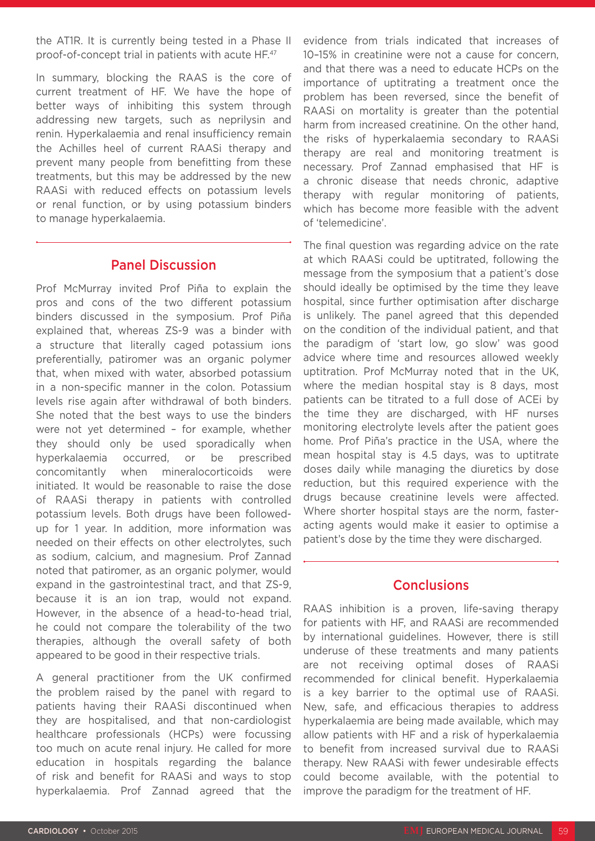the AT1R. It is currently being tested in a Phase II proof-of-concept trial in patients with acute HF.47

In summary, blocking the RAAS is the core of current treatment of HF. We have the hope of better ways of inhibiting this system through addressing new targets, such as neprilysin and renin. Hyperkalaemia and renal insufficiency remain the Achilles heel of current RAASi therapy and prevent many people from benefitting from these treatments, but this may be addressed by the new RAASi with reduced effects on potassium levels or renal function, or by using potassium binders to manage hyperkalaemia.

### Panel Discussion

Prof McMurray invited Prof Piña to explain the pros and cons of the two different potassium binders discussed in the symposium. Prof Piña explained that, whereas ZS-9 was a binder with a structure that literally caged potassium ions preferentially, patiromer was an organic polymer that, when mixed with water, absorbed potassium in a non-specific manner in the colon. Potassium levels rise again after withdrawal of both binders. She noted that the best ways to use the binders were not yet determined – for example, whether they should only be used sporadically when hyperkalaemia occurred, or be prescribed concomitantly when mineralocorticoids were initiated. It would be reasonable to raise the dose of RAASi therapy in patients with controlled potassium levels. Both drugs have been followedup for 1 year. In addition, more information was needed on their effects on other electrolytes, such as sodium, calcium, and magnesium. Prof Zannad noted that patiromer, as an organic polymer, would expand in the gastrointestinal tract, and that ZS-9, because it is an ion trap, would not expand. However, in the absence of a head-to-head trial, he could not compare the tolerability of the two therapies, although the overall safety of both appeared to be good in their respective trials.

A general practitioner from the UK confirmed the problem raised by the panel with regard to patients having their RAASi discontinued when they are hospitalised, and that non-cardiologist healthcare professionals (HCPs) were focussing too much on acute renal injury. He called for more education in hospitals regarding the balance of risk and benefit for RAASi and ways to stop hyperkalaemia. Prof Zannad agreed that the

evidence from trials indicated that increases of 10–15% in creatinine were not a cause for concern, and that there was a need to educate HCPs on the importance of uptitrating a treatment once the problem has been reversed, since the benefit of RAASi on mortality is greater than the potential harm from increased creatinine. On the other hand, the risks of hyperkalaemia secondary to RAASi therapy are real and monitoring treatment is necessary. Prof Zannad emphasised that HF is a chronic disease that needs chronic, adaptive therapy with regular monitoring of patients, which has become more feasible with the advent of 'telemedicine'.

The final question was regarding advice on the rate at which RAASi could be uptitrated, following the message from the symposium that a patient's dose should ideally be optimised by the time they leave hospital, since further optimisation after discharge is unlikely. The panel agreed that this depended on the condition of the individual patient, and that the paradigm of 'start low, go slow' was good advice where time and resources allowed weekly uptitration. Prof McMurray noted that in the UK, where the median hospital stay is 8 days, most patients can be titrated to a full dose of ACEi by the time they are discharged, with HF nurses monitoring electrolyte levels after the patient goes home. Prof Piña's practice in the USA, where the mean hospital stay is 4.5 days, was to uptitrate doses daily while managing the diuretics by dose reduction, but this required experience with the drugs because creatinine levels were affected. Where shorter hospital stays are the norm, fasteracting agents would make it easier to optimise a patient's dose by the time they were discharged.

### **Conclusions**

RAAS inhibition is a proven, life-saving therapy for patients with HF, and RAASi are recommended by international guidelines. However, there is still underuse of these treatments and many patients are not receiving optimal doses of RAASi recommended for clinical benefit. Hyperkalaemia is a key barrier to the optimal use of RAASi. New, safe, and efficacious therapies to address hyperkalaemia are being made available, which may allow patients with HF and a risk of hyperkalaemia to benefit from increased survival due to RAASi therapy. New RAASi with fewer undesirable effects could become available, with the potential to improve the paradigm for the treatment of HF.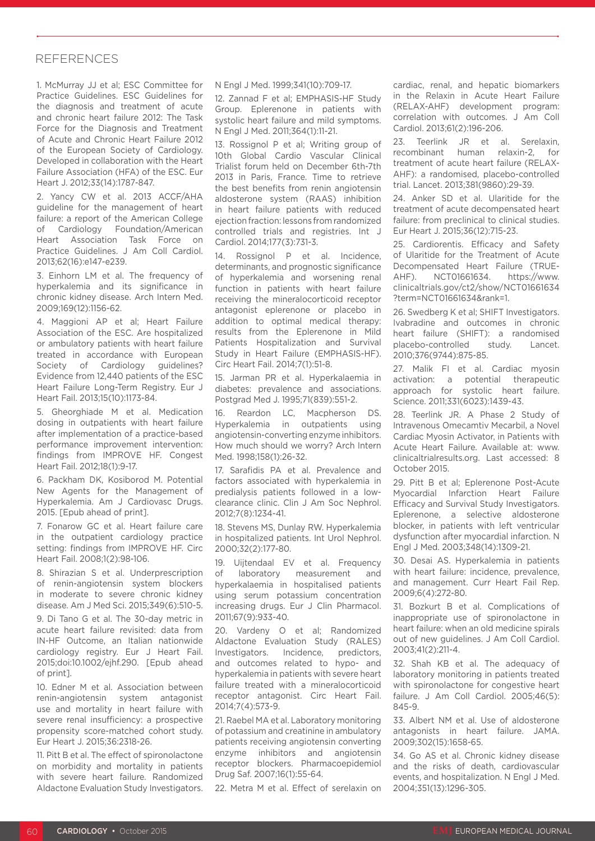#### **REFERENCES**

1. McMurray JJ et al; ESC Committee for Practice Guidelines. ESC Guidelines for the diagnosis and treatment of acute and chronic heart failure 2012: The Task Force for the Diagnosis and Treatment of Acute and Chronic Heart Failure 2012 of the European Society of Cardiology. Developed in collaboration with the Heart Failure Association (HFA) of the ESC. Eur Heart J. 2012;33(14):1787-847.

2. Yancy CW et al. 2013 ACCF/AHA guideline for the management of heart failure: a report of the American College of Cardiology Foundation/American Heart Association Task Force on Practice Guidelines. J Am Coll Cardiol. 2013;62(16):e147-e239.

3. Einhorn LM et al. The frequency of hyperkalemia and its significance in chronic kidney disease. Arch Intern Med. 2009;169(12):1156-62.

4. Maggioni AP et al; Heart Failure Association of the ESC. Are hospitalized or ambulatory patients with heart failure treated in accordance with European Society of Cardiology guidelines? Evidence from 12,440 patients of the ESC Heart Failure Long-Term Registry. Eur J Heart Fail. 2013;15(10):1173-84.

5. Gheorghiade M et al. Medication dosing in outpatients with heart failure after implementation of a practice-based performance improvement intervention: findings from IMPROVE HF. Congest Heart Fail. 2012;18(1):9-17.

6. Packham DK, Kosiborod M. Potential New Agents for the Management of Hyperkalemia. Am J Cardiovasc Drugs. 2015. [Epub ahead of print].

7. Fonarow GC et al. Heart failure care in the outpatient cardiology practice setting: findings from IMPROVE HF. Circ Heart Fail. 2008;1(2):98-106.

8. Shirazian S et al. Underprescription of renin-angiotensin system blockers in moderate to severe chronic kidney disease. Am J Med Sci. 2015;349(6):510-5.

9. Di Tano G et al. The 30-day metric in acute heart failure revisited: data from IN-HF Outcome, an Italian nationwide cardiology registry. Eur J Heart Fail. 2015;doi:10.1002/ejhf.290. [Epub ahead of print].

10. Edner M et al. Association between renin-angiotensin system antagonist use and mortality in heart failure with severe renal insufficiency: a prospective propensity score-matched cohort study. Eur Heart J. 2015;36:2318-26.

11. Pitt B et al. The effect of spironolactone on morbidity and mortality in patients with severe heart failure. Randomized Aldactone Evaluation Study Investigators.

N Engl J Med. 1999;341(10):709-17.

12. Zannad F et al; EMPHASIS-HF Study Group. Eplerenone in patients with systolic heart failure and mild symptoms. N Engl J Med. 2011;364(1):11-21.

13. Rossignol P et al; Writing group of 10th Global Cardio Vascular Clinical Trialist forum held on December 6th-7th 2013 in Paris, France. Time to retrieve the best benefits from renin angiotensin aldosterone system (RAAS) inhibition in heart failure patients with reduced ejection fraction: lessons from randomized controlled trials and registries. Int J Cardiol. 2014;177(3):731-3.

14. Rossignol P et al. Incidence, determinants, and prognostic significance of hyperkalemia and worsening renal function in patients with heart failure receiving the mineralocorticoid receptor antagonist eplerenone or placebo in addition to optimal medical therapy: results from the Eplerenone in Mild Patients Hospitalization and Survival Study in Heart Failure (EMPHASIS-HF). Circ Heart Fail. 2014;7(1):51-8.

15. Jarman PR et al. Hyperkalaemia in diabetes: prevalence and associations. Postgrad Med J. 1995;71(839):551-2.

16. Reardon LC, Macpherson DS. Hyperkalemia in outpatients using angiotensin-converting enzyme inhibitors. How much should we worry? Arch Intern Med. 1998;158(1):26-32.

17. Sarafidis PA et al. Prevalence and factors associated with hyperkalemia in predialysis patients followed in a lowclearance clinic. Clin J Am Soc Nephrol. 2012;7(8):1234-41.

18. Stevens MS, Dunlay RW. Hyperkalemia in hospitalized patients. Int Urol Nephrol. 2000;32(2):177-80.

19. Uijtendaal EV et al. Frequency of laboratory measurement and hyperkalaemia in hospitalised patients using serum potassium concentration increasing drugs. Eur J Clin Pharmacol. 2011;67(9):933-40.

20. Vardeny O et al; Randomized Aldactone Evaluation Study (RALES) Investigators. Incidence, predictors, and outcomes related to hypo- and hyperkalemia in patients with severe heart failure treated with a mineralocorticoid receptor antagonist. Circ Heart Fail. 2014;7(4):573-9.

21. Raebel MA et al. Laboratory monitoring of potassium and creatinine in ambulatory patients receiving angiotensin converting enzyme inhibitors and angiotensin receptor blockers. Pharmacoepidemiol Drug Saf. 2007;16(1):55-64.

22. Metra M et al. Effect of serelaxin on

cardiac, renal, and hepatic biomarkers in the Relaxin in Acute Heart Failure (RELAX-AHF) development program: correlation with outcomes. J Am Coll Cardiol. 2013;61(2):196-206.

23. Teerlink JR et al. Serelaxin, recombinant human relaxin-2, for treatment of acute heart failure (RELAX-AHF): a randomised, placebo-controlled trial. Lancet. 2013;381(9860):29-39.

24. Anker SD et al. Ularitide for the treatment of acute decompensated heart failure: from preclinical to clinical studies. Eur Heart J. 2015;36(12):715-23.

25. Cardiorentis. Efficacy and Safety of Ularitide for the Treatment of Acute Decompensated Heart Failure (TRUE-AHF). NCT01661634. https://www. clinicaltrials.gov/ct2/show/NCT01661634 ?term=NCT01661634&rank=1.

26. Swedberg K et al; SHIFT Investigators. Ivabradine and outcomes in chronic heart failure (SHIFT): a randomised placebo-controlled study. Lancet. 2010;376(9744):875-85.

27. Malik FI et al. Cardiac myosin activation: a potential therapeutic approach for systolic heart failure. Science. 2011;331(6023):1439-43.

28. Teerlink JR. A Phase 2 Study of Intravenous Omecamtiv Mecarbil, a Novel Cardiac Myosin Activator, in Patients with Acute Heart Failure. Available at: www. clinicaltrialresults.org. Last accessed: 8 October 2015.

29. Pitt B et al; Eplerenone Post-Acute Myocardial Infarction Heart Failure Efficacy and Survival Study Investigators. Eplerenone, a selective aldosterone blocker, in patients with left ventricular dysfunction after myocardial infarction. N Engl J Med. 2003;348(14):1309-21.

30. Desai AS. Hyperkalemia in patients with heart failure: incidence, prevalence, and management. Curr Heart Fail Rep. 2009;6(4):272-80.

31. Bozkurt B et al. Complications of inappropriate use of spironolactone in heart failure: when an old medicine spirals out of new guidelines. J Am Coll Cardiol. 2003;41(2):211-4.

32. Shah KB et al. The adequacy of laboratory monitoring in patients treated with spironolactone for congestive heart failure. J Am Coll Cardiol. 2005;46(5): 845-9.

33. Albert NM et al. Use of aldosterone antagonists in heart failure. JAMA. 2009;302(15):1658-65.

34. Go AS et al. Chronic kidney disease and the risks of death, cardiovascular events, and hospitalization. N Engl J Med. 2004;351(13):1296-305.